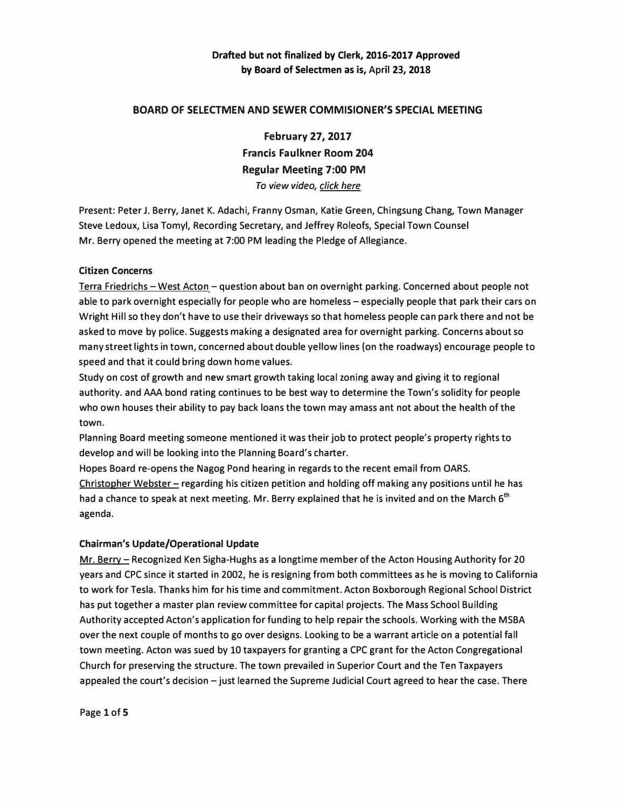### **BOARD OF SELECTMEN AND SEWER COMMISIONER'S SPECIAL MEETING**

**February 27, 2017 Francis Faulkner Room 204 Regular Meeting 7:00 PM**  *To view video, click here* 

**Present: Peter J. Berry, Janet K. Adachi, Franny Osman, Katie Green, Chingsung Chang, Town Manager Steve Ledoux, Lisa Tomyl, Recording Secretary, and Jeffrey Roleofs, Special Town Counsel Mr. Berry opened the meeting at 7:00 PM leading the Pledge of Allegiance.** 

#### **Citizen Concerns**

Terra Friedrichs - West Acton - question about ban on overnight parking. Concerned about people not **able to park overnight especially for people who are homeless-especially people that park their cars on Wright Hill so they don't have to use their driveways so that homeless people can park there and not be asked to move by police. Suggests making a designated area for overnight parking. Concerns about so many street lights in town, concerned about double yellow lines (on the roadways) encourage people to speed and that it could bring down home values.** 

**Study on cost of growth and new smart growth taking local zoning away and giving it to regional authority. and AAA bond rating continues to be best way to determine the Town's solidity for people who own houses their ability to pay back loans the town may amass ant not about the health of the town.** 

**Planning Board meeting someone mentioned it was their job to protect people's property rights to develop and will be looking into the Planning Board's charter.** 

**Hopes Board re-opens the Nagog Pond hearing in regards to the recent email from OARS. Christopher Webster- regarding his citizen petition and holding off making any positions until he has**  had a chance to speak at next meeting. Mr. Berry explained that he is invited and on the March 6<sup>th</sup> **agenda.** 

### **Chairman's Update/Operational Update**

**Mr. Berry – Recognized Ken Sigha-Hughs as a longtime member of the Acton Housing Authority for 20 years and CPC since it started in 2002, he is resigning from both committees as he is moving to California to work for Tesla. Thanks him for his time and commitment. Acton Boxborough Regional School District has put together a master plan review committee for capital projects. The Mass School Building Authority accepted Acton's application for funding to help repair the schools. Working with the MSBA over the next couple of months to go over designs. Looking to be a warrant article on a potential fall town meeting. Acton was sued by 10 taxpayers for granting a CPC grant for the Acton Congregational Church for preserving the structure. The town prevailed in Superior Court and the Ten Taxpayers appealed the court's decision -just learned the Supreme Judicial Court agreed to hear the case. There** 

**Page 1 of 5**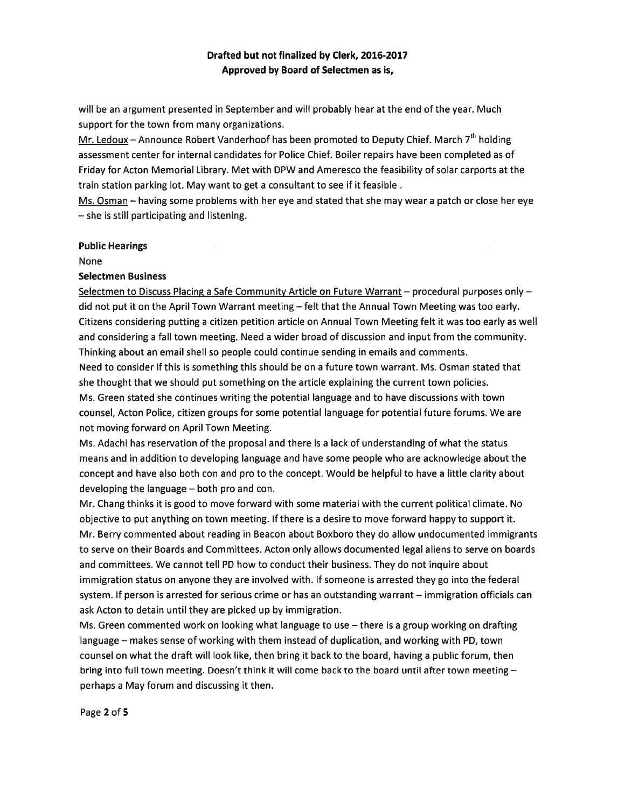will be an argumen<sup>t</sup> presented in September and will probably hear at the end of the year. Much suppor<sup>t</sup> for the town from many organizations.

Mr. Ledoux – Announce Robert Vanderhoof has been promoted to Deputy Chief. March  $7<sup>th</sup>$  holding assessment center for internal candidates for Police Chief. Boiler repairs have been completed as of Friday for Acton Memorial Library. Met with DPW and Ameresco the feasibility of solar carports at the train station parking lot. May want to ge<sup>t</sup> <sup>a</sup> consultant to see if it feasible

Ms. Osman — having some problems with her eye and stated that she may wear <sup>a</sup> patch or close her eye — she is still participating and listening.

#### Public Hearings

None

#### Selectmen Business

Selectmen to Discuss Placing a Safe Community Article on Future Warrant - procedural purposes only did not pu<sup>t</sup> it on the April Town Warrant meeting — felt that the Annual Town Meeting was too early. Citizens considering putting <sup>a</sup> citizen petition article on Annual Town Meeting felt it was too early as well and considering <sup>a</sup> fall town meeting. Need <sup>a</sup> wider broad of discussion and input from the community. Thinking about an email shell so people could continue sending in emails and comments. Need to consider if this is something this should be on <sup>a</sup> future town warrant. Ms. Osman stated that she thought that we should pu<sup>t</sup> something on the article explaining the current town policies. Ms. Green stated she continues writing the potential language and to have discussions with town counsel, Acton Police, citizen groups for some potential language for potential future forums. We are not moving forward on April Town Meeting.

Ms. Adachi has reservation of the proposal and there is <sup>a</sup> lack of understanding of what the status means and in addition to developing language and have some people who are acknowledge about the concep<sup>t</sup> and have also both con and pro to the concept. Would be helpful to have <sup>a</sup> little clarity about developing the language — both pro and con.

Mr. Chang thinks it is good to move forward with some material with the current political climate. No objective to pu<sup>t</sup> anything on town meeting. If there is <sup>a</sup> desire to move forward happy to suppor<sup>t</sup> it. Mr. Berry commented about reading in Beacon about Boxboro they do allow undocumented immigrants to serve on their Boards and Committees. Acton only allows documented legal aliens to serve on boards and committees. We cannot tell PD how to conduct their business. They do not inquire about immigration status on anyone they are involved with, If someone is arrested they go into the federal system. If person is arrested for serious crime or has an outstanding warrant — immigration officials can ask Acton to detain until they are picked up by immigration.

Ms. Green commented work on looking what language to use — there is <sup>a</sup> group working on drafting language — makes sense of working with them instead of duplication, and working with PD, town counsel on what the draft will look like, then bring it back to the board, having <sup>a</sup> public forum, then bring into full town meeting. Doesn't think it will come back to the board until after town meeting perhaps <sup>a</sup> May forum and discussing it then.

Page 2 of 5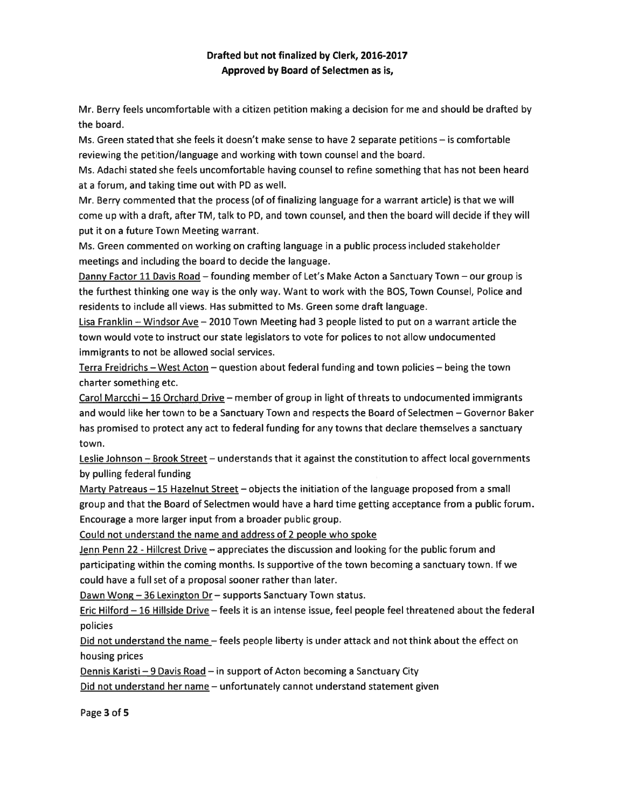Mr. Berry feels uncomfortable with <sup>a</sup> citizen petition making <sup>a</sup> decision for me and should be drafted by the board.

Ms. Green stated that she feels it doesn't make sense to have 2 separate petitions — is comfortable reviewing the petition/language and working with town counsel and the board.

Ms. Adachi stated she feels uncomfortable having counsel to refine something that has not been heard at <sup>a</sup> forum, and taking time out with PD as well.

Mr. Berry commented that the process (of of finalizing language for <sup>a</sup> warrant article) is that we will come up with <sup>a</sup> draft, after TM, talk to PD, and town counsel, and then the board will decide if they will pu<sup>t</sup> it on <sup>a</sup> future Town Meeting warrant.

Ms. Green commented on working on crafting language in <sup>a</sup> public process included stakeholder meetings and including the board to decide the language.

Danny Factor 11 Davis Road — founding member of Let's Make Acton <sup>a</sup> Sanctuary Town — our group is the furthest thinking one way is the only way. Want to work with the BOS, Town Counsel, Police and residents to include all views. Has submitted to Ms. Green some draft language.

Lisa Franklin — Windsor Ave — 2010 Town Meeting had 3 people listed to pu<sup>t</sup> on <sup>a</sup> warrant article the town would vote to instruct our state legislators to vote for polices to not allow undocumented immigrants to not be allowed social services.

Terra Freidrichs — West Acton — question about federal funding and town policies — being the town charter something etc.

Carol Marcchi — 16 Orchard Drive — member of group in light of threats to undocumented immigrants and would like her town to be <sup>a</sup> Sanctuary Town and respects the Board of Selectmen — Governor Baker has promised to protect any act to federal funding for any towns that declare themselves <sup>a</sup> sanctuary town.

Leslie Johnson - Brook Street - understands that it against the constitution to affect local governments by pulling federal funding

Marty Patreaus - 15 Hazelnut Street - objects the initiation of the language proposed from a small group and that the Board of Selectmen would have <sup>a</sup> hard time getting acceptance from <sup>a</sup> public forum. Encourage <sup>a</sup> more larger input from <sup>a</sup> broader public group.

Could not understand the name and address of <sup>2</sup> people who spoke

Jenn Penn 22 - Hillcrest Drive - appreciates the discussion and looking for the public forum and participating within the coming months. Is supportive of the town becoming <sup>a</sup> sanctuary town. If we could have <sup>a</sup> full set of <sup>a</sup> proposal sooner rather than later.

Dawn Wong - 36 Lexington Dr - supports Sanctuary Town status.

Eric Hilford — 16 Hillside Drive — feels it is an intense issue, feel people feel threatened about the federal policies

Did not understand the name – feels people liberty is under attack and not think about the effect on housing prices

Dennis Karisti —9 Davis Road — in suppor<sup>t</sup> of Acton becoming <sup>a</sup> Sanctuary City

Did not understand her name — unfortunately cannot understand statement given

Page 3 of 5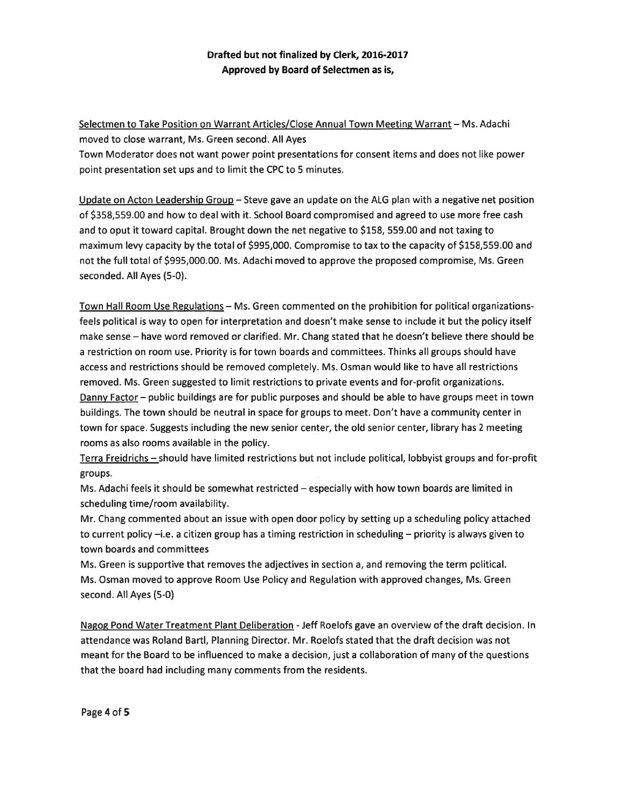Selectmen to Take Position on Warrant Articles/Close Annual Town Meeting Warrant — Ms. Adachi moved to close warrant, Ms. Green second. All Ayes

Town Moderator does not want power point presentations for consent items and does not like power point presentation set ups and to limit the CPC to 5 minutes.

Update on Acton Leadership Group — Steve gave an update on the ALG <sup>p</sup>lan with <sup>a</sup> negative net position of \$358,559.00 and how to deal with it. School Board compromised and agreed to use more free cash and to opu<sup>t</sup> it toward capital. Brought down the net negative to \$158, 559.00 and not taxing to maximum levy capacity by the total of \$995,000. Compromise to tax to the capacity of \$158,559.00 and not the full total of \$995,000.00. Ms. Adachi moved to approve the proposed compromise, Ms. Green seconded. All Ayes (5-0).

Town Hall Room Use Regulations — Ms. Green commented on the prohibition for political organizationsfeels political is way to open for interpretation and doesn't make sense to include it but the policy itself make sense — have word removed or clarified. Mr. Chang stated that he doesn't believe there should be <sup>a</sup> restriction on room use. Priority is for town boards and committees. Thinks all groups should have access and restrictions should be removed completely. Ms. Osman would like to have all restrictions removed. Ms. Green suggested to limit restrictions to private events and for-profit organizations. Danny Factor— public buildings are for public purposes and should be able to have groups meet in town buildings. The town should be neutral in space for groups to meet. Don't have <sup>a</sup> community center in town for space. Suggests including the new senior center, the old senior center, library has 2 meeting rooms as also rooms available in the policy.

Terra Freidrichs — should have limited restrictions but not include political, lobbyist groups and for-profit groups.

Ms. Adachi feels it should be somewhat restricted — especially with how town boards are limited in scheduling time/room availability.

Mr. Chang commented about an issue with open door policy by setting up <sup>a</sup> scheduling policy attached to current policy —i.e. <sup>a</sup> citizen group has <sup>a</sup> timing restriction in scheduling — priority is always given to town boards and committees

Ms. Green is supportive that removes the adjectives in section a, and removing the term political. Ms. Osman moved to approve Room Use Policy and Regulation with approved changes, Ms. Green second. All Ayes (5-0)

Nagog Pond Water Treatment Plant Deliberation - Jeff Roelofs gave an overview of the draft decision. In attendance was Roland Bartl, Planning Director. Mr. Roelofs stated that the draft decision was not meant for the Board to be influenced to make <sup>a</sup> decision, just <sup>a</sup> collaboration of many of the questions that the board had including many comments from the residents.